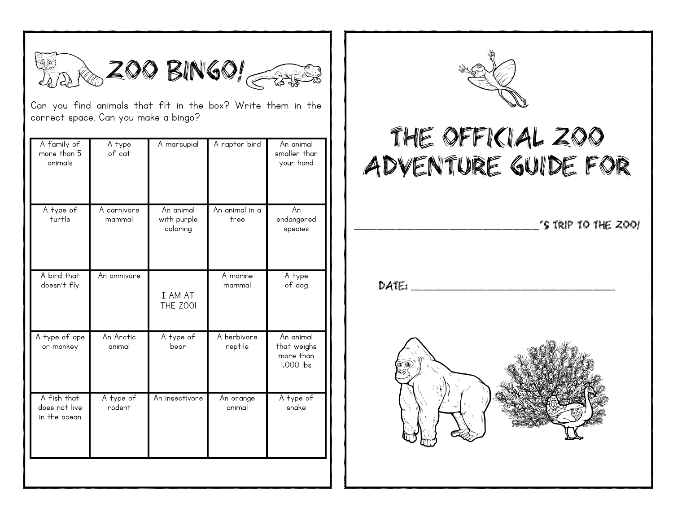

Can you find animals that fit in the box? Write them in the correct space. Can you make a bingo?

| A family of<br>more than 5<br>animals        | A type<br>of cat      | A marsupial                          | A raptor bird          | An animal<br>smaller than<br>your hand             |
|----------------------------------------------|-----------------------|--------------------------------------|------------------------|----------------------------------------------------|
| A type of<br>turtle                          | A carnivore<br>mammal | An animal<br>with purple<br>coloring | An animal in a<br>tree | An<br>endangered<br>species                        |
| A bird that<br>doesn't fly                   | An omnivore           | I AM AT<br>THE ZOOI                  | A marine<br>mammal     | A type<br>of dog                                   |
| A type of ape<br>or monkey                   | An Arctic<br>animal   | A type of<br>bear                    | A herbivore<br>reptile | An animal<br>that weighs<br>more than<br>1,000 lbs |
| A fish that<br>does not live<br>in the ocean | A type of<br>rodent   | An insectivore                       | An orange<br>animal    | A type of<br>snake                                 |
|                                              |                       |                                      |                        |                                                    |



## THE OFFICIAL ZOO ADVENTURE GUIDE FOR

\_\_\_\_\_\_\_\_\_\_\_\_\_\_\_\_\_\_\_\_\_\_\_\_\_\_\_\_\_\_\_\_\_\_\_\_\_\_\_\_\_\_\_\_\_\_\_\_\_

 $DATE:$ 

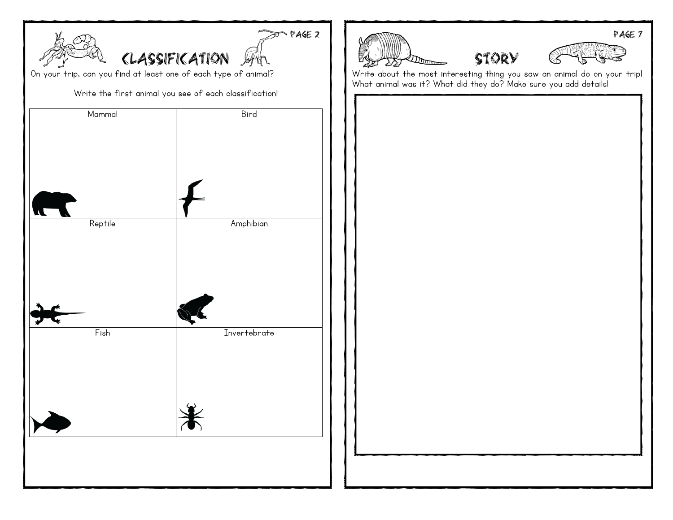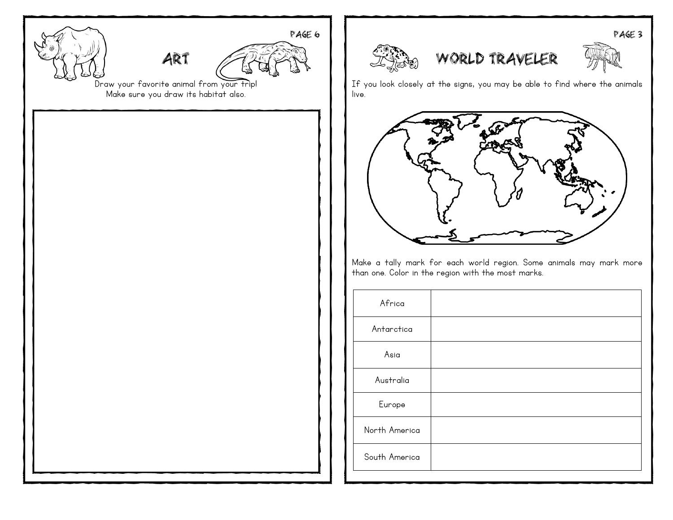